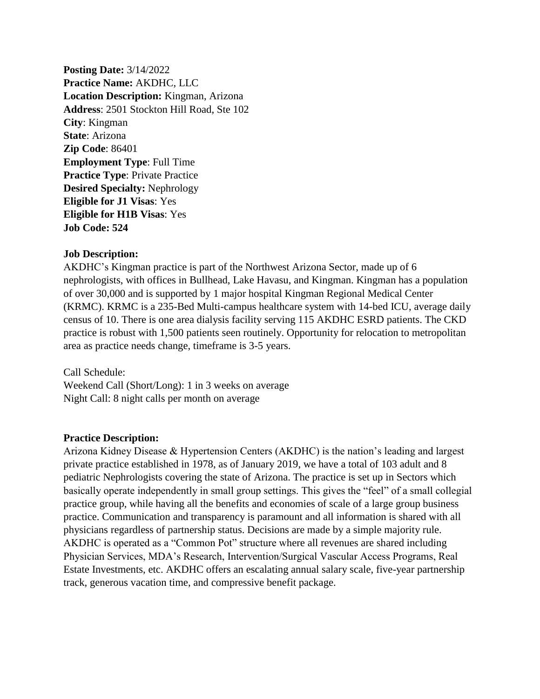**Posting Date:** 3/14/2022 **Practice Name:** AKDHC, LLC **Location Description:** Kingman, Arizona **Address**: 2501 Stockton Hill Road, Ste 102 **City**: Kingman **State**: Arizona **Zip Code**: 86401 **Employment Type**: Full Time **Practice Type: Private Practice Desired Specialty:** Nephrology **Eligible for J1 Visas**: Yes **Eligible for H1B Visas**: Yes **Job Code: 524**

## **Job Description:**

AKDHC's Kingman practice is part of the Northwest Arizona Sector, made up of 6 nephrologists, with offices in Bullhead, Lake Havasu, and Kingman. Kingman has a population of over 30,000 and is supported by 1 major hospital Kingman Regional Medical Center (KRMC). KRMC is a 235-Bed Multi-campus healthcare system with 14-bed ICU, average daily census of 10. There is one area dialysis facility serving 115 AKDHC ESRD patients. The CKD practice is robust with 1,500 patients seen routinely. Opportunity for relocation to metropolitan area as practice needs change, timeframe is 3-5 years.

Call Schedule: Weekend Call (Short/Long): 1 in 3 weeks on average Night Call: 8 night calls per month on average

## **Practice Description:**

Arizona Kidney Disease & Hypertension Centers (AKDHC) is the nation's leading and largest private practice established in 1978, as of January 2019, we have a total of 103 adult and 8 pediatric Nephrologists covering the state of Arizona. The practice is set up in Sectors which basically operate independently in small group settings. This gives the "feel" of a small collegial practice group, while having all the benefits and economies of scale of a large group business practice. Communication and transparency is paramount and all information is shared with all physicians regardless of partnership status. Decisions are made by a simple majority rule. AKDHC is operated as a "Common Pot" structure where all revenues are shared including Physician Services, MDA's Research, Intervention/Surgical Vascular Access Programs, Real Estate Investments, etc. AKDHC offers an escalating annual salary scale, five-year partnership track, generous vacation time, and compressive benefit package.